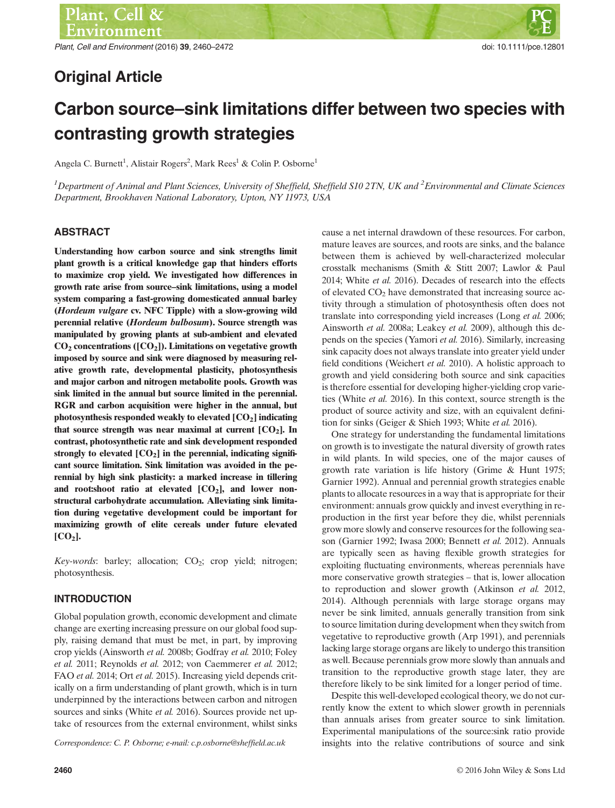Plant, Cell and Environment (2016) 39, 2460–2472 doi: 10.1111/pce.12801

# Original Article

# Carbon source–sink limitations differ between two species with contrasting growth strategies

Angela C. Burnett<sup>1</sup>, Alistair Rogers<sup>2</sup>, Mark Rees<sup>1</sup> & Colin P. Osborne<sup>1</sup>

 $^1$ Department of Animal and Plant Sciences, University of Sheffield, Sheffield S10 2TN, UK and  $^2$ Environmental and Climate Sciences Department, Brookhaven National Laboratory, Upton, NY 11973, USA

#### **ABSTRACT**

Understanding how carbon source and sink strengths limit plant growth is a critical knowledge gap that hinders efforts to maximize crop yield. We investigated how differences in growth rate arise from source–sink limitations, using a model system comparing a fast-growing domesticated annual barley (Hordeum vulgare cv. NFC Tipple) with a slow-growing wild perennial relative (Hordeum bulbosum). Source strength was manipulated by growing plants at sub-ambient and elevated  $CO<sub>2</sub>$  concentrations ([CO<sub>2</sub>]). Limitations on vegetative growth imposed by source and sink were diagnosed by measuring relative growth rate, developmental plasticity, photosynthesis and major carbon and nitrogen metabolite pools. Growth was sink limited in the annual but source limited in the perennial. RGR and carbon acquisition were higher in the annual, but photosynthesis responded weakly to elevated  $[CO<sub>2</sub>]$  indicating that source strength was near maximal at current  $[CO<sub>2</sub>]$ . In contrast, photosynthetic rate and sink development responded strongly to elevated  $[CO<sub>2</sub>]$  in the perennial, indicating significant source limitation. Sink limitation was avoided in the perennial by high sink plasticity: a marked increase in tillering and root:shoot ratio at elevated  $[CO<sub>2</sub>]$ , and lower nonstructural carbohydrate accumulation. Alleviating sink limitation during vegetative development could be important for maximizing growth of elite cereals under future elevated  $[CO<sub>2</sub>].$ 

Key-words: barley; allocation;  $CO_2$ ; crop yield; nitrogen; photosynthesis.

## INTRODUCTION

Global population growth, economic development and climate change are exerting increasing pressure on our global food supply, raising demand that must be met, in part, by improving crop yields (Ainsworth et al. 2008b; Godfray et al. 2010; Foley et al. 2011; Reynolds et al. 2012; von Caemmerer et al. 2012; FAO et al. 2014; Ort et al. 2015). Increasing yield depends critically on a firm understanding of plant growth, which is in turn underpinned by the interactions between carbon and nitrogen sources and sinks (White et al. 2016). Sources provide net uptake of resources from the external environment, whilst sinks

cause a net internal drawdown of these resources. For carbon, mature leaves are sources, and roots are sinks, and the balance between them is achieved by well-characterized molecular crosstalk mechanisms (Smith & Stitt 2007; Lawlor & Paul 2014; White et al. 2016). Decades of research into the effects of elevated  $CO<sub>2</sub>$  have demonstrated that increasing source activity through a stimulation of photosynthesis often does not translate into corresponding yield increases (Long et al. 2006; Ainsworth et al. 2008a; Leakey et al. 2009), although this depends on the species (Yamori et al. 2016). Similarly, increasing sink capacity does not always translate into greater yield under field conditions (Weichert et al. 2010). A holistic approach to growth and yield considering both source and sink capacities is therefore essential for developing higher-yielding crop varieties (White et al. 2016). In this context, source strength is the product of source activity and size, with an equivalent definition for sinks (Geiger & Shieh 1993; White et al. 2016).

One strategy for understanding the fundamental limitations on growth is to investigate the natural diversity of growth rates in wild plants. In wild species, one of the major causes of growth rate variation is life history (Grime & Hunt 1975; Garnier 1992). Annual and perennial growth strategies enable plants to allocate resources in a way that is appropriate for their environment: annuals grow quickly and invest everything in reproduction in the first year before they die, whilst perennials grow more slowly and conserve resources for the following season (Garnier 1992; Iwasa 2000; Bennett et al. 2012). Annuals are typically seen as having flexible growth strategies for exploiting fluctuating environments, whereas perennials have more conservative growth strategies – that is, lower allocation to reproduction and slower growth (Atkinson et al. 2012, 2014). Although perennials with large storage organs may never be sink limited, annuals generally transition from sink to source limitation during development when they switch from vegetative to reproductive growth (Arp 1991), and perennials lacking large storage organs are likely to undergo this transition as well. Because perennials grow more slowly than annuals and transition to the reproductive growth stage later, they are therefore likely to be sink limited for a longer period of time.

Despite this well-developed ecological theory, we do not currently know the extent to which slower growth in perennials than annuals arises from greater source to sink limitation. Experimental manipulations of the source:sink ratio provide Correspondence: C. P. Osborne; e-mail: c.p.osborne@sheffield.ac.uk insights into the relative contributions of source and sink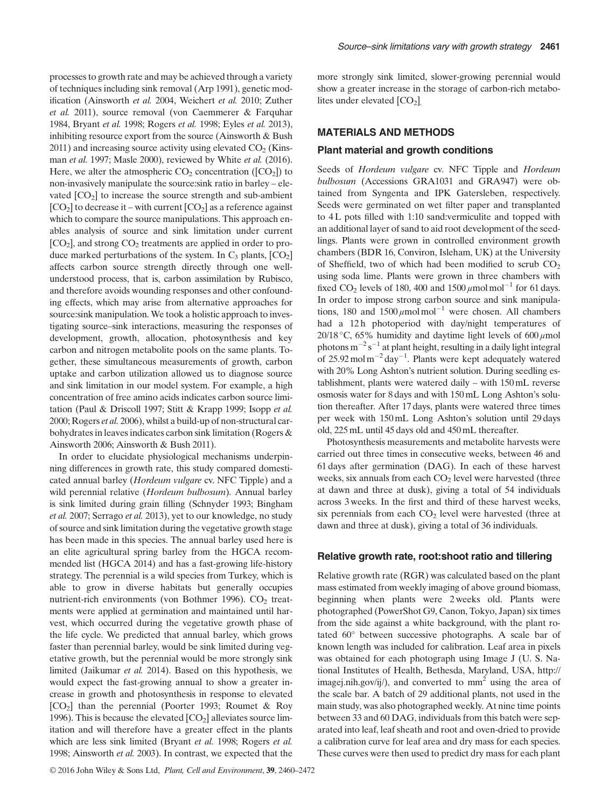processes to growth rate and may be achieved through a variety of techniques including sink removal (Arp 1991), genetic modification (Ainsworth et al. 2004, Weichert et al. 2010; Zuther et al. 2011), source removal (von Caemmerer & Farquhar 1984, Bryant et al. 1998; Rogers et al. 1998; Eyles et al. 2013), inhibiting resource export from the source (Ainsworth & Bush  $2011$ ) and increasing source activity using elevated  $CO<sub>2</sub>$  (Kinsman et al. 1997; Masle 2000), reviewed by White et al. (2016). Here, we alter the atmospheric  $CO<sub>2</sub>$  concentration ( $[CO<sub>2</sub>]$ ) to non-invasively manipulate the source:sink ratio in barley – elevated  $[CO<sub>2</sub>]$  to increase the source strength and sub-ambient  $[CO<sub>2</sub>]$  to decrease it – with current  $[CO<sub>2</sub>]$  as a reference against which to compare the source manipulations. This approach enables analysis of source and sink limitation under current  $[CO<sub>2</sub>]$ , and strong  $CO<sub>2</sub>$  treatments are applied in order to produce marked perturbations of the system. In  $C_3$  plants,  $[CO_2]$ affects carbon source strength directly through one wellunderstood process, that is, carbon assimilation by Rubisco, and therefore avoids wounding responses and other confounding effects, which may arise from alternative approaches for source:sink manipulation. We took a holistic approach to investigating source–sink interactions, measuring the responses of development, growth, allocation, photosynthesis and key carbon and nitrogen metabolite pools on the same plants. Together, these simultaneous measurements of growth, carbon uptake and carbon utilization allowed us to diagnose source and sink limitation in our model system. For example, a high concentration of free amino acids indicates carbon source limitation (Paul & Driscoll 1997; Stitt & Krapp 1999; Isopp et al. 2000; Rogers et al. 2006), whilst a build-up of non-structural carbohydrates in leaves indicates carbon sink limitation (Rogers & Ainsworth 2006; Ainsworth & Bush 2011).

In order to elucidate physiological mechanisms underpinning differences in growth rate, this study compared domesticated annual barley (Hordeum vulgare cv. NFC Tipple) and a wild perennial relative (Hordeum bulbosum). Annual barley is sink limited during grain filling (Schnyder 1993; Bingham et al. 2007; Serrago et al. 2013), yet to our knowledge, no study of source and sink limitation during the vegetative growth stage has been made in this species. The annual barley used here is an elite agricultural spring barley from the HGCA recommended list (HGCA 2014) and has a fast-growing life-history strategy. The perennial is a wild species from Turkey, which is able to grow in diverse habitats but generally occupies nutrient-rich environments (von Bothmer 1996).  $CO<sub>2</sub>$  treatments were applied at germination and maintained until harvest, which occurred during the vegetative growth phase of the life cycle. We predicted that annual barley, which grows faster than perennial barley, would be sink limited during vegetative growth, but the perennial would be more strongly sink limited (Jaikumar et al. 2014). Based on this hypothesis, we would expect the fast-growing annual to show a greater increase in growth and photosynthesis in response to elevated  $[CO<sub>2</sub>]$  than the perennial (Poorter 1993; Roumet & Roy 1996). This is because the elevated  $[CO<sub>2</sub>]$  alleviates source limitation and will therefore have a greater effect in the plants which are less sink limited (Bryant et al. 1998; Rogers et al. 1998; Ainsworth et al. 2003). In contrast, we expected that the

more strongly sink limited, slower-growing perennial would show a greater increase in the storage of carbon-rich metabolites under elevated  $[CO<sub>2</sub>]$ .

#### MATERIALS AND METHODS

#### Plant material and growth conditions

Seeds of *Hordeum vulgare cv.* NFC Tipple and *Hordeum* bulbosum (Accessions GRA1031 and GRA947) were obtained from Syngenta and IPK Gatersleben, respectively. Seeds were germinated on wet filter paper and transplanted to 4 L pots filled with 1:10 sand:vermiculite and topped with an additional layer of sand to aid root development of the seedlings. Plants were grown in controlled environment growth chambers (BDR 16, Conviron, Isleham, UK) at the University of Sheffield, two of which had been modified to scrub  $CO<sub>2</sub>$ using soda lime. Plants were grown in three chambers with fixed CO<sub>2</sub> levels of 180, 400 and  $1500 \mu$  molmol<sup>-1</sup> for 61 days. In order to impose strong carbon source and sink manipulations, 180 and  $1500 \mu$ molmol<sup>-1</sup> were chosen. All chambers had a 12h photoperiod with day/night temperatures of 20/18 °C, 65% humidity and daytime light levels of 600  $\mu$ mol photons  $m^{-2} s^{-1}$  at plant height, resulting in a daily light integral of 25.92 mol  $m^{-2}$  day<sup>-1</sup>. Plants were kept adequately watered with 20% Long Ashton's nutrient solution. During seedling establishment, plants were watered daily – with 150 mL reverse osmosis water for 8 days and with 150 mL Long Ashton's solution thereafter. After 17 days, plants were watered three times per week with 150 mL Long Ashton's solution until 29 days old, 225 mL until 45 days old and 450 mL thereafter.

Photosynthesis measurements and metabolite harvests were carried out three times in consecutive weeks, between 46 and 61 days after germination (DAG). In each of these harvest weeks, six annuals from each  $CO<sub>2</sub>$  level were harvested (three at dawn and three at dusk), giving a total of 54 individuals across 3 weeks. In the first and third of these harvest weeks, six perennials from each  $CO<sub>2</sub>$  level were harvested (three at dawn and three at dusk), giving a total of 36 individuals.

#### Relative growth rate, root:shoot ratio and tillering

Relative growth rate (RGR) was calculated based on the plant mass estimated from weekly imaging of above ground biomass, beginning when plants were 2 weeks old. Plants were photographed (PowerShot G9, Canon, Tokyo, Japan) six times from the side against a white background, with the plant rotated 60° between successive photographs. A scale bar of known length was included for calibration. Leaf area in pixels was obtained for each photograph using Image J (U. S. National Institutes of Health, Bethesda, Maryland, USA, [http://](http://imagej.nih.gov/ij/) [imagej.nih.gov/ij/](http://imagej.nih.gov/ij/)), and converted to  $mm<sup>2</sup>$  using the area of the scale bar. A batch of 29 additional plants, not used in the main study, was also photographed weekly. At nine time points between 33 and 60 DAG, individuals from this batch were separated into leaf, leaf sheath and root and oven-dried to provide a calibration curve for leaf area and dry mass for each species. These curves were then used to predict dry mass for each plant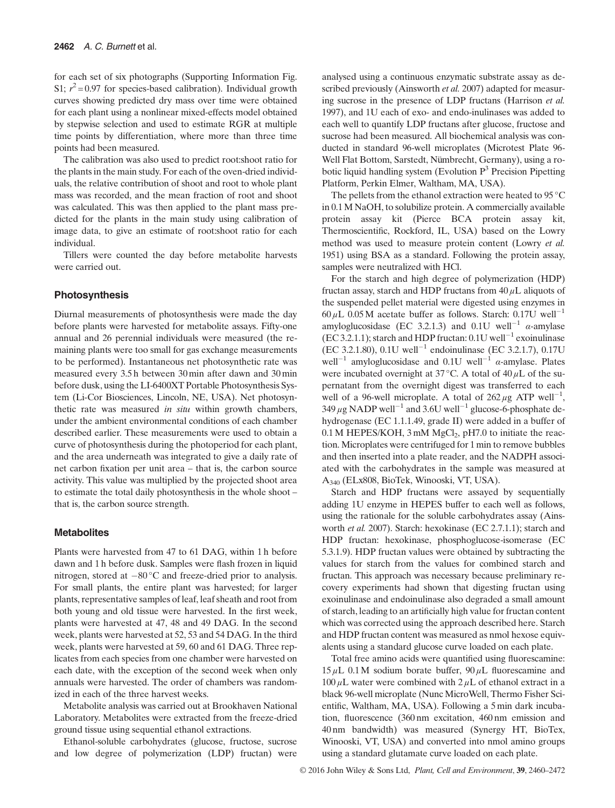for each set of six photographs (Supporting Information Fig. S1;  $r^2 = 0.97$  for species-based calibration). Individual growth curves showing predicted dry mass over time were obtained for each plant using a nonlinear mixed-effects model obtained by stepwise selection and used to estimate RGR at multiple time points by differentiation, where more than three time points had been measured.

The calibration was also used to predict root:shoot ratio for the plants in the main study. For each of the oven-dried individuals, the relative contribution of shoot and root to whole plant mass was recorded, and the mean fraction of root and shoot was calculated. This was then applied to the plant mass predicted for the plants in the main study using calibration of image data, to give an estimate of root:shoot ratio for each individual.

Tillers were counted the day before metabolite harvests were carried out.

#### Photosynthesis

Diurnal measurements of photosynthesis were made the day before plants were harvested for metabolite assays. Fifty-one annual and 26 perennial individuals were measured (the remaining plants were too small for gas exchange measurements to be performed). Instantaneous net photosynthetic rate was measured every 3.5 h between 30 min after dawn and 30 min before dusk, using the LI-6400XT Portable Photosynthesis System (Li-Cor Biosciences, Lincoln, NE, USA). Net photosynthetic rate was measured in situ within growth chambers, under the ambient environmental conditions of each chamber described earlier. These measurements were used to obtain a curve of photosynthesis during the photoperiod for each plant, and the area underneath was integrated to give a daily rate of net carbon fixation per unit area – that is, the carbon source activity. This value was multiplied by the projected shoot area to estimate the total daily photosynthesis in the whole shoot – that is, the carbon source strength.

#### **Metabolites**

Plants were harvested from 47 to 61 DAG, within 1 h before dawn and 1 h before dusk. Samples were flash frozen in liquid nitrogen, stored at  $-80^{\circ}$ C and freeze-dried prior to analysis. For small plants, the entire plant was harvested; for larger plants, representative samples of leaf, leaf sheath and root from both young and old tissue were harvested. In the first week, plants were harvested at 47, 48 and 49 DAG. In the second week, plants were harvested at 52, 53 and 54 DAG. In the third week, plants were harvested at 59, 60 and 61 DAG. Three replicates from each species from one chamber were harvested on each date, with the exception of the second week when only annuals were harvested. The order of chambers was randomized in each of the three harvest weeks.

Metabolite analysis was carried out at Brookhaven National Laboratory. Metabolites were extracted from the freeze-dried ground tissue using sequential ethanol extractions.

Ethanol-soluble carbohydrates (glucose, fructose, sucrose and low degree of polymerization (LDP) fructan) were analysed using a continuous enzymatic substrate assay as described previously (Ainsworth *et al.* 2007) adapted for measuring sucrose in the presence of LDP fructans (Harrison et al. 1997), and 1U each of exo- and endo-inulinases was added to each well to quantify LDP fructans after glucose, fructose and sucrose had been measured. All biochemical analysis was conducted in standard 96-well microplates (Microtest Plate 96- Well Flat Bottom, Sarstedt, Nümbrecht, Germany), using a robotic liquid handling system (Evolution  $P<sup>3</sup>$  Precision Pipetting Platform, Perkin Elmer, Waltham, MA, USA).

The pellets from the ethanol extraction were heated to 95 °C in 0.1M NaOH, to solubilize protein. A commercially available protein assay kit (Pierce BCA protein assay kit, Thermoscientific, Rockford, IL, USA) based on the Lowry method was used to measure protein content (Lowry et al. 1951) using BSA as a standard. Following the protein assay, samples were neutralized with HCl.

For the starch and high degree of polymerization (HDP) fructan assay, starch and HDP fructans from  $40 \mu$ L aliquots of the suspended pellet material were digested using enzymes in  $60 \mu L$  0.05 M acetate buffer as follows. Starch: 0.17U well<sup>-1</sup> amyloglucosidase (EC 3.2.1.3) and 0.1U well<sup>-1</sup>  $\alpha$ -amylase (EC 3.2.1.1); starch and HDP fructan:  $0.1U$  well<sup>-1</sup> exoinulinase (EC 3.2.1.80), 0.1U well<sup>-1</sup> endoinulinase (EC 3.2.1.7), 0.17U well<sup>-1</sup> amyloglucosidase and 0.1U well<sup>-1</sup>  $\alpha$ -amylase. Plates were incubated overnight at 37 °C. A total of  $40 \mu L$  of the supernatant from the overnight digest was transferred to each well of a 96-well microplate. A total of  $262 \mu$ g ATP well<sup>-1</sup>,  $349 \mu$ g NADP well<sup>-1</sup> and 3.6U well<sup>-1</sup> glucose-6-phosphate dehydrogenase (EC 1.1.1.49, grade II) were added in a buffer of  $0.1$  M HEPES/KOH, 3 mM MgCl<sub>2</sub>, pH7.0 to initiate the reaction. Microplates were centrifuged for 1 min to remove bubbles and then inserted into a plate reader, and the NADPH associated with the carbohydrates in the sample was measured at A340 (ELx808, BioTek, Winooski, VT, USA).

Starch and HDP fructans were assayed by sequentially adding 1U enzyme in HEPES buffer to each well as follows, using the rationale for the soluble carbohydrates assay (Ainsworth et al. 2007). Starch: hexokinase (EC 2.7.1.1); starch and HDP fructan: hexokinase, phosphoglucose-isomerase (EC 5.3.1.9). HDP fructan values were obtained by subtracting the values for starch from the values for combined starch and fructan. This approach was necessary because preliminary recovery experiments had shown that digesting fructan using exoinulinase and endoinulinase also degraded a small amount of starch, leading to an artificially high value for fructan content which was corrected using the approach described here. Starch and HDP fructan content was measured as nmol hexose equivalents using a standard glucose curve loaded on each plate.

Total free amino acids were quantified using fluorescamine:  $15 \mu L$  0.1M sodium borate buffer, 90  $\mu$ L fluorescamine and  $100 \mu$ L water were combined with  $2 \mu$ L of ethanol extract in a black 96-well microplate (Nunc MicroWell, Thermo Fisher Scientific, Waltham, MA, USA). Following a 5 min dark incubation, fluorescence (360 nm excitation, 460 nm emission and 40 nm bandwidth) was measured (Synergy HT, BioTex, Winooski, VT, USA) and converted into nmol amino groups using a standard glutamate curve loaded on each plate.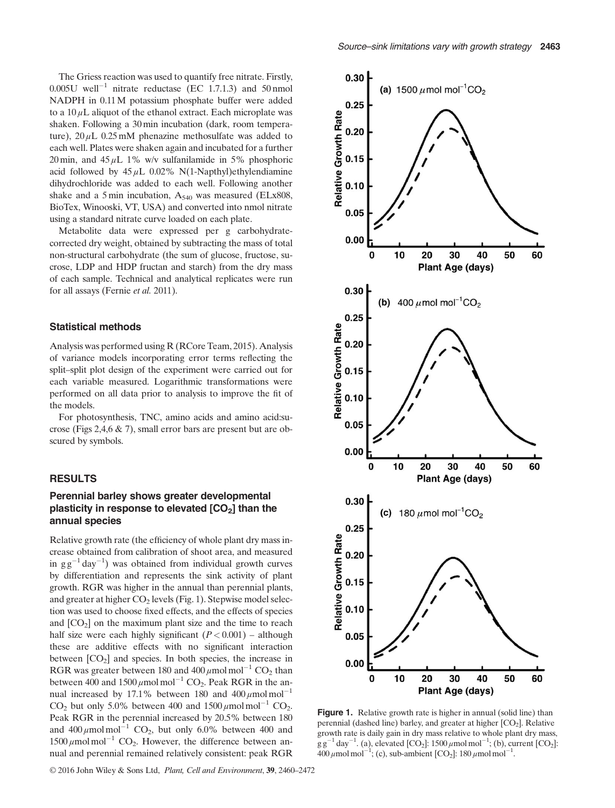The Griess reaction was used to quantify free nitrate. Firstly,  $0.005U$  well<sup>-1</sup> nitrate reductase (EC 1.7.1.3) and 50 nmol NADPH in 0.11M potassium phosphate buffer were added to a  $10 \mu$ L aliquot of the ethanol extract. Each microplate was shaken. Following a 30 min incubation (dark, room temperature),  $20 \mu L$  0.25 mM phenazine methosulfate was added to each well. Plates were shaken again and incubated for a further 20 min, and  $45 \mu L$  1% w/v sulfanilamide in 5% phosphoric acid followed by  $45 \mu L$  0.02% N(1-Napthyl)ethylendiamine dihydrochloride was added to each well. Following another shake and a 5 min incubation,  $A_{540}$  was measured (ELx808, BioTex, Winooski, VT, USA) and converted into nmol nitrate using a standard nitrate curve loaded on each plate.

Metabolite data were expressed per g carbohydratecorrected dry weight, obtained by subtracting the mass of total non-structural carbohydrate (the sum of glucose, fructose, sucrose, LDP and HDP fructan and starch) from the dry mass of each sample. Technical and analytical replicates were run for all assays (Fernie et al. 2011).

#### Statistical methods

Analysis was performed using R (RCore Team, 2015). Analysis of variance models incorporating error terms reflecting the split–split plot design of the experiment were carried out for each variable measured. Logarithmic transformations were performed on all data prior to analysis to improve the fit of the models.

For photosynthesis, TNC, amino acids and amino acid:sucrose (Figs 2,4,6 & 7), small error bars are present but are obscured by symbols.

#### RESULTS

# Perennial barley shows greater developmental plasticity in response to elevated  $[CO<sub>2</sub>]$  than the annual species

Relative growth rate (the efficiency of whole plant dry mass increase obtained from calibration of shoot area, and measured in  $gg^{-1}$  day<sup>-1</sup>) was obtained from individual growth curves by differentiation and represents the sink activity of plant growth. RGR was higher in the annual than perennial plants, and greater at higher  $CO<sub>2</sub>$  levels (Fig. 1). Stepwise model selection was used to choose fixed effects, and the effects of species and  $[CO<sub>2</sub>]$  on the maximum plant size and the time to reach half size were each highly significant  $(P< 0.001)$  – although these are additive effects with no significant interaction between  $[CO<sub>2</sub>]$  and species. In both species, the increase in RGR was greater between 180 and 400  $\mu$ mol mol<sup>-1</sup> CO<sub>2</sub> than between 400 and  $1500 \mu$ mol mol<sup>-1</sup> CO<sub>2</sub>. Peak RGR in the annual increased by 17.1% between 180 and  $400 \mu$ mol mol<sup>-1</sup> CO<sub>2</sub> but only 5.0% between 400 and  $1500 \mu$  molmol<sup>-1</sup> CO<sub>2</sub>. Peak RGR in the perennial increased by 20.5% between 180 and  $400 \mu$ mol mol<sup>-1</sup> CO<sub>2</sub>, but only 6.0% between 400 and  $1500 \mu$ mol mol<sup>-1</sup> CO<sub>2</sub>. However, the difference between annual and perennial remained relatively consistent: peak RGR



Figure 1. Relative growth rate is higher in annual (solid line) than perennial (dashed line) barley, and greater at higher  $[CO<sub>2</sub>]$ . Relative growth rate is daily gain in dry mass relative to whole plant dry mass,  $gg^{-1}$  day<sup>-1</sup>. (a), elevated [CO<sub>2</sub>]: 1500  $\mu$ mol mol<sup>-1</sup>; (b), current [CO<sub>2</sub>]:  $400 \mu$  mol mol<sup>-1</sup>; (c), sub-ambient [CO<sub>2</sub>]: 180 μmol mol<sup>-1</sup>.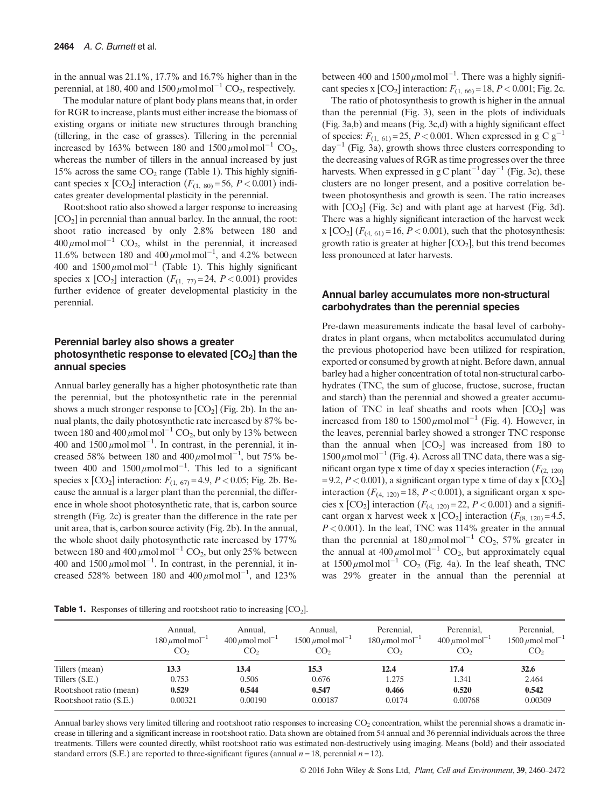in the annual was 21.1%, 17.7% and 16.7% higher than in the perennial, at 180, 400 and 1500  $\mu$ mol mol<sup>-1</sup> CO<sub>2</sub>, respectively.

The modular nature of plant body plans means that, in order for RGR to increase, plants must either increase the biomass of existing organs or initiate new structures through branching (tillering, in the case of grasses). Tillering in the perennial increased by 163% between 180 and  $1500 \mu$  molmol<sup>-1</sup> CO<sub>2</sub>, whereas the number of tillers in the annual increased by just 15% across the same  $CO<sub>2</sub>$  range (Table 1). This highly significant species x  $[CO_2]$  interaction  $(F_{(1, 80)} = 56, P < 0.001)$  indicates greater developmental plasticity in the perennial.

Root:shoot ratio also showed a larger response to increasing  $[CO<sub>2</sub>]$  in perennial than annual barley. In the annual, the root: shoot ratio increased by only 2.8% between 180 and  $400 \mu$ mol mol<sup>-1</sup> CO<sub>2</sub>, whilst in the perennial, it increased 11.6% between 180 and  $400 \mu$ mol mol<sup>-1</sup>, and 4.2% between 400 and  $1500 \mu$ mol mol<sup>-1</sup> (Table 1). This highly significant species x  $[CO_2]$  interaction  $(F_{(1, 77)} = 24, P < 0.001)$  provides further evidence of greater developmental plasticity in the perennial.

#### Perennial barley also shows a greater photosynthetic response to elevated  $[CO<sub>2</sub>]$  than the annual species

Annual barley generally has a higher photosynthetic rate than the perennial, but the photosynthetic rate in the perennial shows a much stronger response to  $[CO<sub>2</sub>]$  (Fig. 2b). In the annual plants, the daily photosynthetic rate increased by 87% between 180 and 400  $\mu$ mol mol<sup>-1</sup> CO<sub>2</sub>, but only by 13% between 400 and  $1500 \mu$ mol mol<sup>-1</sup>. In contrast, in the perennial, it increased 58% between 180 and  $400 \mu$ mol mol<sup>-1</sup>, but 75% between 400 and  $1500 \mu$ molmol<sup>-1</sup>. This led to a significant species x  $[CO_2]$  interaction:  $F_{(1, 67)} = 4.9, P < 0.05$ ; Fig. 2b. Because the annual is a larger plant than the perennial, the difference in whole shoot photosynthetic rate, that is, carbon source strength (Fig. 2c) is greater than the difference in the rate per unit area, that is, carbon source activity (Fig. 2b). In the annual, the whole shoot daily photosynthetic rate increased by 177% between 180 and 400  $\mu$ mol mol<sup>-1</sup> CO<sub>2</sub>, but only 25% between 400 and  $1500 \mu$ mol mol<sup>-1</sup>. In contrast, in the perennial, it increased 528% between 180 and  $400 \mu$ mol mol<sup>-1</sup>, and 123%

between 400 and  $1500 \mu$ mol mol<sup>-1</sup>. There was a highly significant species x  $[CO_2]$  interaction:  $F_{(1, 60)} = 18, P < 0.001$ ; Fig. 2c.

The ratio of photosynthesis to growth is higher in the annual than the perennial (Fig. 3), seen in the plots of individuals (Fig. 3a,b) and means (Fig. 3c,d) with a highly significant effect of species:  $F_{(1, 61)} = 25$ ,  $P < 0.001$ . When expressed in g C g<sup>-1</sup>  $day^{-1}$  (Fig. 3a), growth shows three clusters corresponding to the decreasing values of RGR as time progresses over the three harvests. When expressed in g C plant<sup>-1</sup> day<sup>-1</sup> (Fig. 3c), these clusters are no longer present, and a positive correlation between photosynthesis and growth is seen. The ratio increases with  $[CO_2]$  (Fig. 3c) and with plant age at harvest (Fig. 3d). There was a highly significant interaction of the harvest week x  $[CO_2]$   $(F_{(4, 61)} = 16, P < 0.001)$ , such that the photosynthesis: growth ratio is greater at higher  $[CO<sub>2</sub>]$ , but this trend becomes less pronounced at later harvests.

#### Annual barley accumulates more non-structural carbohydrates than the perennial species

Pre-dawn measurements indicate the basal level of carbohydrates in plant organs, when metabolites accumulated during the previous photoperiod have been utilized for respiration, exported or consumed by growth at night. Before dawn, annual barley had a higher concentration of total non-structural carbohydrates (TNC, the sum of glucose, fructose, sucrose, fructan and starch) than the perennial and showed a greater accumulation of TNC in leaf sheaths and roots when  $[CO<sub>2</sub>]$  was increased from 180 to  $1500 \mu$ mol mol<sup>-1</sup> (Fig. 4). However, in the leaves, perennial barley showed a stronger TNC response than the annual when  $[CO<sub>2</sub>]$  was increased from 180 to  $1500 \mu$  mol mol<sup>-1</sup> (Fig. 4). Across all TNC data, there was a significant organ type x time of day x species interaction  $(F_{(2, 120)}$ = 9.2,  $P < 0.001$ ), a significant organ type x time of day x  $[CO<sub>2</sub>]$ interaction  $(F_{(4, 120)} = 18, P < 0.001)$ , a significant organ x species x  $[CO_2]$  interaction  $(F_{(4, 120)} = 22, P < 0.001)$  and a significant organ x harvest week x  $[CO_2]$  interaction  $(F_{(8, 120)} = 4.5,$  $P < 0.001$ ). In the leaf, TNC was 114% greater in the annual than the perennial at  $180 \mu$ mol mol<sup>-1</sup> CO<sub>2</sub>, 57% greater in the annual at  $400 \mu$ mol mol<sup>-1</sup> CO<sub>2</sub>, but approximately equal at  $1500 \mu$ mol mol<sup>-1</sup> CO<sub>2</sub> (Fig. 4a). In the leaf sheath, TNC was 29% greater in the annual than the perennial at

| <b>Table 1.</b> Responses of tillering and root: shoot ratio to increasing $[CO2]$ . |  |  |  |  |  |
|--------------------------------------------------------------------------------------|--|--|--|--|--|
|--------------------------------------------------------------------------------------|--|--|--|--|--|

|                         | Annual,<br>$180 \mu$ mol mol <sup>-1</sup><br>CO <sub>2</sub> | Annual,<br>$400 \mu$ mol mol <sup>-1</sup><br>CO <sub>2</sub> | Annual,<br>$1500 \mu$ mol mol <sup>-1</sup><br>CO <sub>2</sub> | Perennial,<br>$180 \mu$ mol mol <sup>-1</sup><br>CO <sub>2</sub> | Perennial,<br>$400 \mu$ mol mol <sup>-1</sup><br>CO <sub>2</sub> | Perennial,<br>$1500 \mu$ mol mol <sup>-1</sup><br>CO <sub>2</sub> |
|-------------------------|---------------------------------------------------------------|---------------------------------------------------------------|----------------------------------------------------------------|------------------------------------------------------------------|------------------------------------------------------------------|-------------------------------------------------------------------|
| Tillers (mean)          | 13.3                                                          | 13.4                                                          | 15.3                                                           | 12.4                                                             | 17.4                                                             | 32.6                                                              |
| Tillers (S.E.)          | 0.753                                                         | 0.506                                                         | 0.676                                                          | 1.275                                                            | 1.341                                                            | 2.464                                                             |
| Root:shoot ratio (mean) | 0.529                                                         | 0.544                                                         | 0.547                                                          | 0.466                                                            | 0.520                                                            | 0.542                                                             |
| Root:shoot ratio (S.E.) | 0.00321                                                       | 0.00190                                                       | 0.00187                                                        | 0.0174                                                           | 0.00768                                                          | 0.00309                                                           |

Annual barley shows very limited tillering and root:shoot ratio responses to increasing CO<sub>2</sub> concentration, whilst the perennial shows a dramatic increase in tillering and a significant increase in root:shoot ratio. Data shown are obtained from 54 annual and 36 perennial individuals across the three treatments. Tillers were counted directly, whilst root:shoot ratio was estimated non-destructively using imaging. Means (bold) and their associated standard errors (S.E.) are reported to three-significant figures (annual  $n = 18$ , perennial  $n = 12$ ).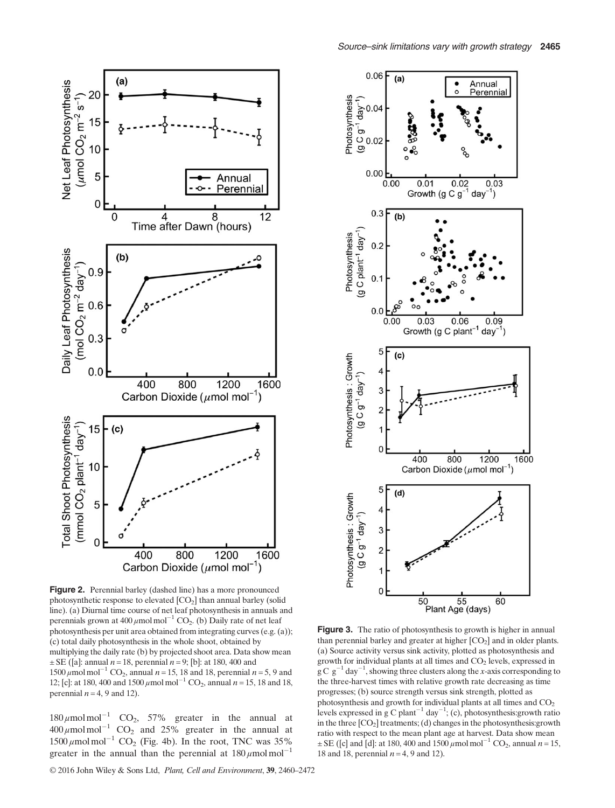

Source–sink limitations vary with growth strategy 2465



Figure 2. Perennial barley (dashed line) has a more pronounced photosynthetic response to elevated [CO2] than annual barley (solid line). (a) Diurnal time course of net leaf photosynthesis in annuals and perennials grown at 400  $\mu$ mol mol<sup>-1</sup> CO<sub>2</sub>. (b) Daily rate of net leaf photosynthesis per unit area obtained from integrating curves (e.g. (a)); (c) total daily photosynthesis in the whole shoot, obtained by multiplying the daily rate (b) by projected shoot area. Data show mean  $\pm$  SE ([a]: annual *n* = 18, perennial *n* = 9; [b]: at 180, 400 and 1500  $\mu$ mol mol<sup>-1</sup> CO<sub>2</sub>, annual  $n = 15$ , 18 and 18, perennial  $n = 5$ , 9 and 12; [c]: at 180, 400 and 1500  $\mu$ mol mol<sup>-1</sup> CO<sub>2</sub>, annual n = 15, 18 and 18, perennial  $n = 4$ , 9 and 12).

 $180 \mu$ mol mol<sup>-1</sup> CO<sub>2</sub>, 57% greater in the annual at  $400 \mu$ mol mol<sup>-1</sup> CO<sub>2</sub> and 25% greater in the annual at  $1500 \mu$ mol mol<sup>-1</sup> CO<sub>2</sub> (Fig. 4b). In the root, TNC was 35% greater in the annual than the perennial at  $180 \mu$ mol mol<sup>-1</sup>

© 2016 John Wiley & Sons Ltd, Plant, Cell and Environment, 39, 2460–2472

Figure 3. The ratio of photosynthesis to growth is higher in annual than perennial barley and greater at higher  $[CO<sub>2</sub>]$  and in older plants. (a) Source activity versus sink activity, plotted as photosynthesis and growth for individual plants at all times and  $CO<sub>2</sub>$  levels, expressed in  $\rm g \, C \, g^{-1}$  day<sup>-1</sup>, showing three clusters along the x-axis corresponding to the three-harvest times with relative growth rate decreasing as time progresses; (b) source strength versus sink strength, plotted as photosynthesis and growth for individual plants at all times and  $CO<sub>2</sub>$ levels expressed in g C plant<sup>-1</sup> day<sup>-1</sup>; (c), photosynthesis: growth ratio in the three  $[CO<sub>2</sub>]$  treatments; (d) changes in the photosynthesis: growth ratio with respect to the mean plant age at harvest. Data show mean  $\pm$  SE ([c] and [d]: at 180, 400 and 1500  $\mu$ mol mol<sup>-1</sup> CO<sub>2</sub>, annual n = 15, 18 and 18, perennial  $n = 4$ , 9 and 12).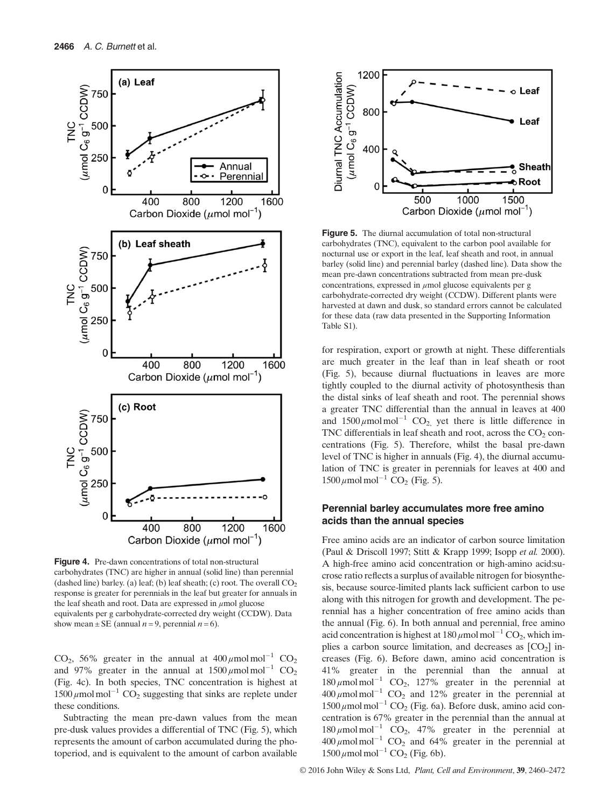

Figure 4. Pre-dawn concentrations of total non-structural carbohydrates (TNC) are higher in annual (solid line) than perennial (dashed line) barley. (a) leaf; (b) leaf sheath; (c) root. The overall  $CO<sub>2</sub>$ response is greater for perennials in the leaf but greater for annuals in the leaf sheath and root. Data are expressed in  $\mu$ mol glucose equivalents per g carbohydrate-corrected dry weight (CCDW). Data show mean  $\pm$  SE (annual *n* = 9, perennial *n* = 6).

CO<sub>2</sub>, 56% greater in the annual at  $400 \mu$ mol mol<sup>-1</sup> CO<sub>2</sub> and 97% greater in the annual at  $1500 \mu$ mol mol<sup>-1</sup> CO<sub>2</sub> (Fig. 4c). In both species, TNC concentration is highest at  $1500 \mu$ mol mol<sup>-1</sup> CO<sub>2</sub> suggesting that sinks are replete under these conditions.

Subtracting the mean pre-dawn values from the mean pre-dusk values provides a differential of TNC (Fig. 5), which represents the amount of carbon accumulated during the photoperiod, and is equivalent to the amount of carbon available



Figure 5. The diurnal accumulation of total non-structural carbohydrates (TNC), equivalent to the carbon pool available for nocturnal use or export in the leaf, leaf sheath and root, in annual barley (solid line) and perennial barley (dashed line). Data show the mean pre-dawn concentrations subtracted from mean pre-dusk concentrations, expressed in  $\mu$ mol glucose equivalents per g carbohydrate-corrected dry weight (CCDW). Different plants were harvested at dawn and dusk, so standard errors cannot be calculated for these data (raw data presented in the Supporting Information Table S1).

for respiration, export or growth at night. These differentials are much greater in the leaf than in leaf sheath or root (Fig. 5), because diurnal fluctuations in leaves are more tightly coupled to the diurnal activity of photosynthesis than the distal sinks of leaf sheath and root. The perennial shows a greater TNC differential than the annual in leaves at 400 and  $1500 \mu$ mol mol<sup>-1</sup> CO<sub>2</sub>, yet there is little difference in TNC differentials in leaf sheath and root, across the  $CO<sub>2</sub>$  concentrations (Fig. 5). Therefore, whilst the basal pre-dawn level of TNC is higher in annuals (Fig. 4), the diurnal accumulation of TNC is greater in perennials for leaves at 400 and  $1500 \,\mu$ mol mol<sup>-1</sup> CO<sub>2</sub> (Fig. 5).

#### Perennial barley accumulates more free amino acids than the annual species

Free amino acids are an indicator of carbon source limitation (Paul & Driscoll 1997; Stitt & Krapp 1999; Isopp et al. 2000). A high-free amino acid concentration or high-amino acid:sucrose ratio reflects a surplus of available nitrogen for biosynthesis, because source-limited plants lack sufficient carbon to use along with this nitrogen for growth and development. The perennial has a higher concentration of free amino acids than the annual (Fig. 6). In both annual and perennial, free amino acid concentration is highest at  $180 \mu$ mol mol<sup>-1</sup> CO<sub>2</sub>, which implies a carbon source limitation, and decreases as  $[CO<sub>2</sub>]$  increases (Fig. 6). Before dawn, amino acid concentration is 41% greater in the perennial than the annual at  $180 \mu$ mol mol<sup>-1</sup> CO<sub>2</sub>, 127% greater in the perennial at  $400 \mu$ mol mol<sup>-1</sup> CO<sub>2</sub> and 12% greater in the perennial at  $1500 \mu$ mol mol<sup>-1</sup> CO<sub>2</sub> (Fig. 6a). Before dusk, amino acid concentration is 67% greater in the perennial than the annual at  $180 \mu$ mol mol<sup>-1</sup> CO<sub>2</sub>, 47% greater in the perennial at  $400 \mu$ mol mol<sup>-1</sup> CO<sub>2</sub> and 64% greater in the perennial at  $1500 \mu$  mol mol<sup>-1</sup> CO<sub>2</sub> (Fig. 6b).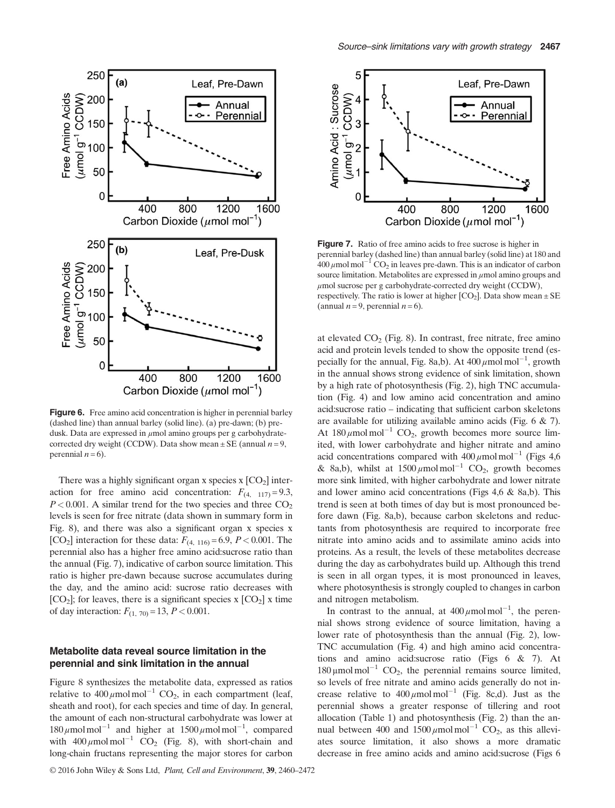

Figure 6. Free amino acid concentration is higher in perennial barley (dashed line) than annual barley (solid line). (a) pre-dawn; (b) predusk. Data are expressed in  $\mu$ mol amino groups per g carbohydratecorrected dry weight (CCDW). Data show mean  $\pm$  SE (annual  $n = 9$ , perennial  $n = 6$ ).

There was a highly significant organ x species  $x$   $[CO<sub>2</sub>]$  interaction for free amino acid concentration:  $F_{(4, 117)} = 9.3$ ,  $P < 0.001$ . A similar trend for the two species and three  $CO<sub>2</sub>$ levels is seen for free nitrate (data shown in summary form in Fig. 8), and there was also a significant organ x species x [CO<sub>2</sub>] interaction for these data:  $F_{(4, 116)} = 6.9, P < 0.001$ . The perennial also has a higher free amino acid:sucrose ratio than the annual (Fig. 7), indicative of carbon source limitation. This ratio is higher pre-dawn because sucrose accumulates during the day, and the amino acid: sucrose ratio decreases with  $[CO<sub>2</sub>]$ ; for leaves, there is a significant species x  $[CO<sub>2</sub>]$  x time of day interaction:  $F_{(1, 70)} = 13, P < 0.001$ .

#### Metabolite data reveal source limitation in the perennial and sink limitation in the annual

Figure 8 synthesizes the metabolite data, expressed as ratios relative to  $400 \mu \text{mol} \text{ mol}^{-1} \text{CO}_2$ , in each compartment (leaf, sheath and root), for each species and time of day. In general, the amount of each non-structural carbohydrate was lower at  $180 \mu$ mol mol<sup>-1</sup> and higher at  $1500 \mu$ mol mol<sup>-1</sup>, compared with  $400 \mu \text{mol} \text{mol}^{-1}$  CO<sub>2</sub> (Fig. 8), with short-chain and long-chain fructans representing the major stores for carbon



Figure 7. Ratio of free amino acids to free sucrose is higher in perennial barley (dashed line) than annual barley (solid line) at 180 and  $400 \mu$ mol mol<sup>-1</sup> CO<sub>2</sub> in leaves pre-dawn. This is an indicator of carbon source limitation. Metabolites are expressed in μmol amino groups and  $\mu$ mol sucrose per g carbohydrate-corrected dry weight (CCDW), respectively. The ratio is lower at higher  $[CO_2]$ . Data show mean  $\pm$  SE (annual  $n = 9$ , perennial  $n = 6$ ).

at elevated  $CO<sub>2</sub>$  (Fig. 8). In contrast, free nitrate, free amino acid and protein levels tended to show the opposite trend (especially for the annual, Fig. 8a,b). At  $400 \mu$ mol mol<sup>-1</sup>, growth in the annual shows strong evidence of sink limitation, shown by a high rate of photosynthesis (Fig. 2), high TNC accumulation (Fig. 4) and low amino acid concentration and amino acid:sucrose ratio – indicating that sufficient carbon skeletons are available for utilizing available amino acids (Fig. 6 & 7). At  $180 \mu$ mol mol<sup>-1</sup> CO<sub>2</sub>, growth becomes more source limited, with lower carbohydrate and higher nitrate and amino acid concentrations compared with  $400 \mu$ mol mol<sup>-1</sup> (Figs 4,6) & 8a,b), whilst at  $1500 \mu$ mol mol<sup>-1</sup> CO<sub>2</sub>, growth becomes more sink limited, with higher carbohydrate and lower nitrate and lower amino acid concentrations (Figs 4,6 & 8a,b). This trend is seen at both times of day but is most pronounced before dawn (Fig. 8a,b), because carbon skeletons and reductants from photosynthesis are required to incorporate free nitrate into amino acids and to assimilate amino acids into proteins. As a result, the levels of these metabolites decrease during the day as carbohydrates build up. Although this trend is seen in all organ types, it is most pronounced in leaves, where photosynthesis is strongly coupled to changes in carbon and nitrogen metabolism.

In contrast to the annual, at  $400 \mu$ mol mol<sup>-1</sup>, the perennial shows strong evidence of source limitation, having a lower rate of photosynthesis than the annual (Fig. 2), low-TNC accumulation (Fig. 4) and high amino acid concentrations and amino acid:sucrose ratio (Figs 6 & 7). At  $180 \mu$ mol mol<sup>-1</sup> CO<sub>2</sub>, the perennial remains source limited, so levels of free nitrate and amino acids generally do not increase relative to  $400 \mu \text{mol} \text{ mol}^{-1}$  (Fig. 8c,d). Just as the perennial shows a greater response of tillering and root allocation (Table 1) and photosynthesis (Fig. 2) than the annual between 400 and  $1500 \mu \text{mol} \text{mol}^{-1}$  CO<sub>2</sub>, as this alleviates source limitation, it also shows a more dramatic decrease in free amino acids and amino acid:sucrose (Figs 6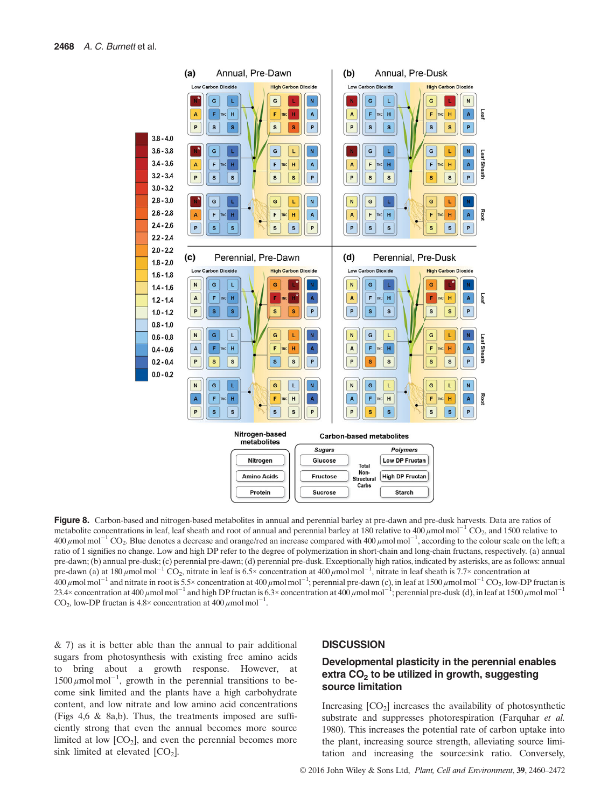

Figure 8. Carbon-based and nitrogen-based metabolites in annual and perennial barley at pre-dawn and pre-dusk harvests. Data are ratios of metabolite concentrations in leaf, leaf sheath and root of annual and perennial barley at 180 relative to  $400 \mu$ mol $\text{mol}^{-1}$  CO<sub>2</sub>, and 1500 relative to 400 μmol mol<sup>-1</sup> CO<sub>2</sub>. Blue denotes a decrease and orange/red an increase compared with 400 μmol mol<sup>-1</sup>, according to the colour scale on the left; a ratio of 1 signifies no change. Low and high DP refer to the degree of polymerization in short-chain and long-chain fructans, respectively. (a) annual pre-dawn; (b) annual pre-dusk; (c) perennial pre-dawn; (d) perennial pre-dusk. Exceptionally high ratios, indicated by asterisks, are as follows: annual pre-dawn (a) at 180  $\mu$ mol mol<sup>-1</sup> CO<sub>2</sub>, nitrate in leaf is 6.5× concentration at 400  $\mu$ mol mol<sup>-1</sup>, nitrate in leaf sheath is 7.7× concentration at  $^{400}$  μmol mol<sup>-1</sup> and nitrate in root is 5.5× concentration at 400 μmol mol<sup>-1</sup>; perennial pre-dawn (c), in leaf at 1500 μmol mol<sup>-1</sup> CO<sub>2</sub>, low-DP fructan is 23.4× concentration at 400  $\mu$ mol mol<sup>-1</sup> and high DP fructan is 6.3× concentration at 400  $\mu$ mol mol<sup>-1</sup>; perennial pre-dusk (d), in leaf at 1500  $\mu$ mol mol<sup>-1</sup> CO<sub>2</sub>, low-DP fructan is  $4.8 \times$  concentration at  $400 \mu$ mol mol<sup>-1</sup> .

 $\&$  7) as it is better able than the annual to pair additional sugars from photosynthesis with existing free amino acids to bring about a growth response. However, at  $1500 \mu$  molmol<sup>-1</sup>, growth in the perennial transitions to become sink limited and the plants have a high carbohydrate content, and low nitrate and low amino acid concentrations (Figs 4,6 & 8a,b). Thus, the treatments imposed are sufficiently strong that even the annual becomes more source limited at low  $[CO_2]$ , and even the perennial becomes more sink limited at elevated  $[CO<sub>2</sub>]$ .

#### **DISCUSSION**

# Developmental plasticity in the perennial enables extra  $CO<sub>2</sub>$  to be utilized in growth, suggesting source limitation

Increasing  $[CO<sub>2</sub>]$  increases the availability of photosynthetic substrate and suppresses photorespiration (Farquhar et al. 1980). This increases the potential rate of carbon uptake into the plant, increasing source strength, alleviating source limitation and increasing the source:sink ratio. Conversely,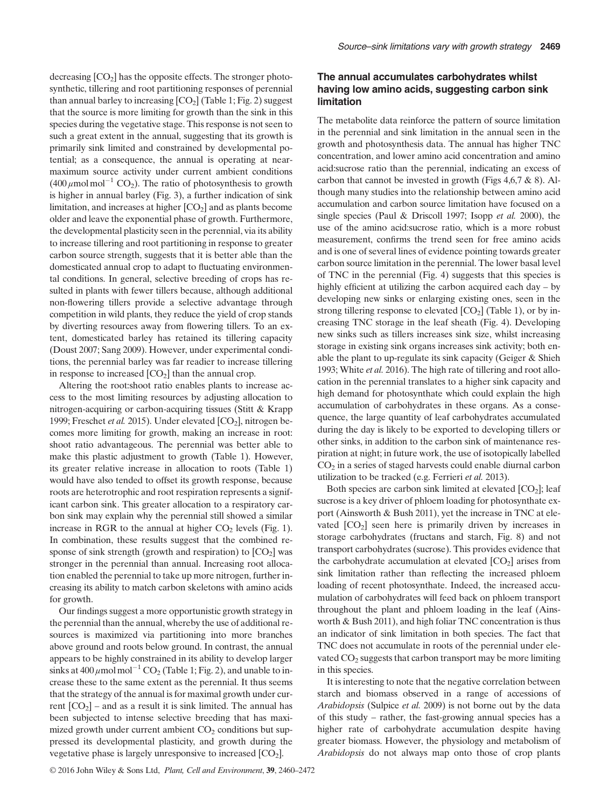decreasing  $[CO<sub>2</sub>]$  has the opposite effects. The stronger photosynthetic, tillering and root partitioning responses of perennial than annual barley to increasing  $[CO<sub>2</sub>]$  (Table 1; Fig. 2) suggest that the source is more limiting for growth than the sink in this species during the vegetative stage. This response is not seen to such a great extent in the annual, suggesting that its growth is primarily sink limited and constrained by developmental potential; as a consequence, the annual is operating at nearmaximum source activity under current ambient conditions  $(400 \,\mu\text{mol} \text{ mol}^{-1} \text{CO}_2)$ . The ratio of photosynthesis to growth is higher in annual barley (Fig. 3), a further indication of sink limitation, and increases at higher  $[CO<sub>2</sub>]$  and as plants become older and leave the exponential phase of growth. Furthermore, the developmental plasticity seen in the perennial, via its ability to increase tillering and root partitioning in response to greater carbon source strength, suggests that it is better able than the domesticated annual crop to adapt to fluctuating environmental conditions. In general, selective breeding of crops has resulted in plants with fewer tillers because, although additional non-flowering tillers provide a selective advantage through competition in wild plants, they reduce the yield of crop stands by diverting resources away from flowering tillers. To an extent, domesticated barley has retained its tillering capacity (Doust 2007; Sang 2009). However, under experimental conditions, the perennial barley was far readier to increase tillering in response to increased  $[CO<sub>2</sub>]$  than the annual crop.

Altering the root:shoot ratio enables plants to increase access to the most limiting resources by adjusting allocation to nitrogen-acquiring or carbon-acquiring tissues (Stitt & Krapp 1999; Freschet et al. 2015). Under elevated  $[CO_2]$ , nitrogen becomes more limiting for growth, making an increase in root: shoot ratio advantageous. The perennial was better able to make this plastic adjustment to growth (Table 1). However, its greater relative increase in allocation to roots (Table 1) would have also tended to offset its growth response, because roots are heterotrophic and root respiration represents a significant carbon sink. This greater allocation to a respiratory carbon sink may explain why the perennial still showed a similar increase in RGR to the annual at higher  $CO<sub>2</sub>$  levels (Fig. 1). In combination, these results suggest that the combined response of sink strength (growth and respiration) to  $[CO<sub>2</sub>]$  was stronger in the perennial than annual. Increasing root allocation enabled the perennial to take up more nitrogen, further increasing its ability to match carbon skeletons with amino acids for growth.

Our findings suggest a more opportunistic growth strategy in the perennial than the annual, whereby the use of additional resources is maximized via partitioning into more branches above ground and roots below ground. In contrast, the annual appears to be highly constrained in its ability to develop larger sinks at  $400 \mu$ mol mol<sup>-1</sup> CO<sub>2</sub> (Table 1; Fig. 2), and unable to increase these to the same extent as the perennial. It thus seems that the strategy of the annual is for maximal growth under current  $[CO_2]$  – and as a result it is sink limited. The annual has been subjected to intense selective breeding that has maximized growth under current ambient  $CO<sub>2</sub>$  conditions but suppressed its developmental plasticity, and growth during the vegetative phase is largely unresponsive to increased  $[CO<sub>2</sub>]$ .

# The annual accumulates carbohydrates whilst having low amino acids, suggesting carbon sink limitation

The metabolite data reinforce the pattern of source limitation in the perennial and sink limitation in the annual seen in the growth and photosynthesis data. The annual has higher TNC concentration, and lower amino acid concentration and amino acid:sucrose ratio than the perennial, indicating an excess of carbon that cannot be invested in growth (Figs 4,6,7 & 8). Although many studies into the relationship between amino acid accumulation and carbon source limitation have focused on a single species (Paul & Driscoll 1997; Isopp *et al.* 2000), the use of the amino acid:sucrose ratio, which is a more robust measurement, confirms the trend seen for free amino acids and is one of several lines of evidence pointing towards greater carbon source limitation in the perennial. The lower basal level of TNC in the perennial (Fig. 4) suggests that this species is highly efficient at utilizing the carbon acquired each day – by developing new sinks or enlarging existing ones, seen in the strong tillering response to elevated  $[CO<sub>2</sub>]$  (Table 1), or by increasing TNC storage in the leaf sheath (Fig. 4). Developing new sinks such as tillers increases sink size, whilst increasing storage in existing sink organs increases sink activity; both enable the plant to up-regulate its sink capacity (Geiger & Shieh 1993; White et al. 2016). The high rate of tillering and root allocation in the perennial translates to a higher sink capacity and high demand for photosynthate which could explain the high accumulation of carbohydrates in these organs. As a consequence, the large quantity of leaf carbohydrates accumulated during the day is likely to be exported to developing tillers or other sinks, in addition to the carbon sink of maintenance respiration at night; in future work, the use of isotopically labelled  $CO<sub>2</sub>$  in a series of staged harvests could enable diurnal carbon utilization to be tracked (e.g. Ferrieri et al. 2013).

Both species are carbon sink limited at elevated  $[CO<sub>2</sub>]$ ; leaf sucrose is a key driver of phloem loading for photosynthate export (Ainsworth & Bush 2011), yet the increase in TNC at elevated  $[CO<sub>2</sub>]$  seen here is primarily driven by increases in storage carbohydrates (fructans and starch, Fig. 8) and not transport carbohydrates (sucrose). This provides evidence that the carbohydrate accumulation at elevated  $[CO<sub>2</sub>]$  arises from sink limitation rather than reflecting the increased phloem loading of recent photosynthate. Indeed, the increased accumulation of carbohydrates will feed back on phloem transport throughout the plant and phloem loading in the leaf (Ainsworth & Bush 2011), and high foliar TNC concentration is thus an indicator of sink limitation in both species. The fact that TNC does not accumulate in roots of the perennial under elevated  $CO<sub>2</sub>$  suggests that carbon transport may be more limiting in this species.

It is interesting to note that the negative correlation between starch and biomass observed in a range of accessions of Arabidopsis (Sulpice et al. 2009) is not borne out by the data of this study – rather, the fast-growing annual species has a higher rate of carbohydrate accumulation despite having greater biomass. However, the physiology and metabolism of Arabidopsis do not always map onto those of crop plants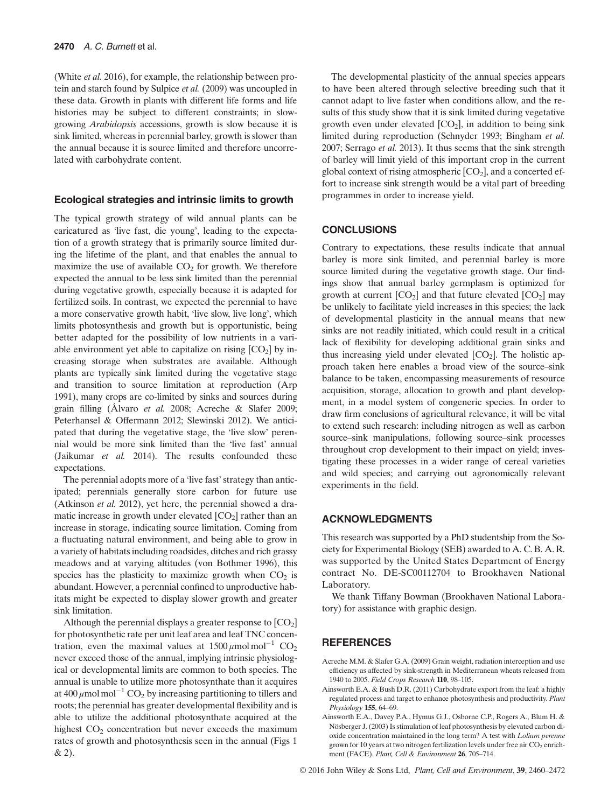(White et al. 2016), for example, the relationship between protein and starch found by Sulpice et al. (2009) was uncoupled in these data. Growth in plants with different life forms and life histories may be subject to different constraints; in slowgrowing Arabidopsis accessions, growth is slow because it is sink limited, whereas in perennial barley, growth is slower than the annual because it is source limited and therefore uncorrelated with carbohydrate content.

#### Ecological strategies and intrinsic limits to growth

The typical growth strategy of wild annual plants can be caricatured as 'live fast, die young', leading to the expectation of a growth strategy that is primarily source limited during the lifetime of the plant, and that enables the annual to maximize the use of available  $CO<sub>2</sub>$  for growth. We therefore expected the annual to be less sink limited than the perennial during vegetative growth, especially because it is adapted for fertilized soils. In contrast, we expected the perennial to have a more conservative growth habit, 'live slow, live long', which limits photosynthesis and growth but is opportunistic, being better adapted for the possibility of low nutrients in a variable environment yet able to capitalize on rising  $[CO<sub>2</sub>]$  by increasing storage when substrates are available. Although plants are typically sink limited during the vegetative stage and transition to source limitation at reproduction (Arp 1991), many crops are co-limited by sinks and sources during grain filling (Álvaro et al. 2008; Acreche & Slafer 2009; Peterhansel & Offermann 2012; Slewinski 2012). We anticipated that during the vegetative stage, the 'live slow' perennial would be more sink limited than the 'live fast' annual (Jaikumar et al. 2014). The results confounded these expectations.

The perennial adopts more of a 'live fast' strategy than anticipated; perennials generally store carbon for future use (Atkinson et al. 2012), yet here, the perennial showed a dramatic increase in growth under elevated  $[CO<sub>2</sub>]$  rather than an increase in storage, indicating source limitation. Coming from a fluctuating natural environment, and being able to grow in a variety of habitats including roadsides, ditches and rich grassy meadows and at varying altitudes (von Bothmer 1996), this species has the plasticity to maximize growth when  $CO<sub>2</sub>$  is abundant. However, a perennial confined to unproductive habitats might be expected to display slower growth and greater sink limitation.

Although the perennial displays a greater response to  $[CO<sub>2</sub>]$ for photosynthetic rate per unit leaf area and leaf TNC concentration, even the maximal values at  $1500 \mu$ mol mol<sup>-1</sup> CO<sub>2</sub> never exceed those of the annual, implying intrinsic physiological or developmental limits are common to both species. The annual is unable to utilize more photosynthate than it acquires at 400  $\mu$ mol mol<sup>-1</sup> CO<sub>2</sub> by increasing partitioning to tillers and roots; the perennial has greater developmental flexibility and is able to utilize the additional photosynthate acquired at the highest  $CO<sub>2</sub>$  concentration but never exceeds the maximum rates of growth and photosynthesis seen in the annual (Figs 1 & 2).

The developmental plasticity of the annual species appears to have been altered through selective breeding such that it cannot adapt to live faster when conditions allow, and the results of this study show that it is sink limited during vegetative growth even under elevated  $[CO<sub>2</sub>]$ , in addition to being sink limited during reproduction (Schnyder 1993; Bingham et al. 2007; Serrago et al. 2013). It thus seems that the sink strength of barley will limit yield of this important crop in the current global context of rising atmospheric  $[CO<sub>2</sub>]$ , and a concerted effort to increase sink strength would be a vital part of breeding programmes in order to increase yield.

## **CONCLUSIONS**

Contrary to expectations, these results indicate that annual barley is more sink limited, and perennial barley is more source limited during the vegetative growth stage. Our findings show that annual barley germplasm is optimized for growth at current  $[CO_2]$  and that future elevated  $[CO_2]$  may be unlikely to facilitate yield increases in this species; the lack of developmental plasticity in the annual means that new sinks are not readily initiated, which could result in a critical lack of flexibility for developing additional grain sinks and thus increasing yield under elevated  $[CO<sub>2</sub>]$ . The holistic approach taken here enables a broad view of the source–sink balance to be taken, encompassing measurements of resource acquisition, storage, allocation to growth and plant development, in a model system of congeneric species. In order to draw firm conclusions of agricultural relevance, it will be vital to extend such research: including nitrogen as well as carbon source–sink manipulations, following source–sink processes throughout crop development to their impact on yield; investigating these processes in a wider range of cereal varieties and wild species; and carrying out agronomically relevant experiments in the field.

## ACKNOWLEDGMENTS

This research was supported by a PhD studentship from the Society for Experimental Biology (SEB) awarded to A. C. B. A. R. was supported by the United States Department of Energy contract No. DE-SC00112704 to Brookhaven National Laboratory.

We thank Tiffany Bowman (Brookhaven National Laboratory) for assistance with graphic design.

# **REFERENCES**

- Acreche M.M. & Slafer G.A. (2009) Grain weight, radiation interception and use efficiency as affected by sink-strength in Mediterranean wheats released from 1940 to 2005. Field Crops Research 110, 98–105.
- Ainsworth E.A. & Bush D.R. (2011) Carbohydrate export from the leaf: a highly regulated process and target to enhance photosynthesis and productivity. Plant Physiology 155, 64–69.
- Ainsworth E.A., Davey P.A., Hymus G.J., Osborne C.P., Rogers A., Blum H. & Nösberger J. (2003) Is stimulation of leaf photosynthesis by elevated carbon dioxide concentration maintained in the long term? A test with Lolium perenne grown for 10 years at two nitrogen fertilization levels under free air  $CO<sub>2</sub>$  enrichment (FACE). Plant, Cell & Environment 26, 705–714.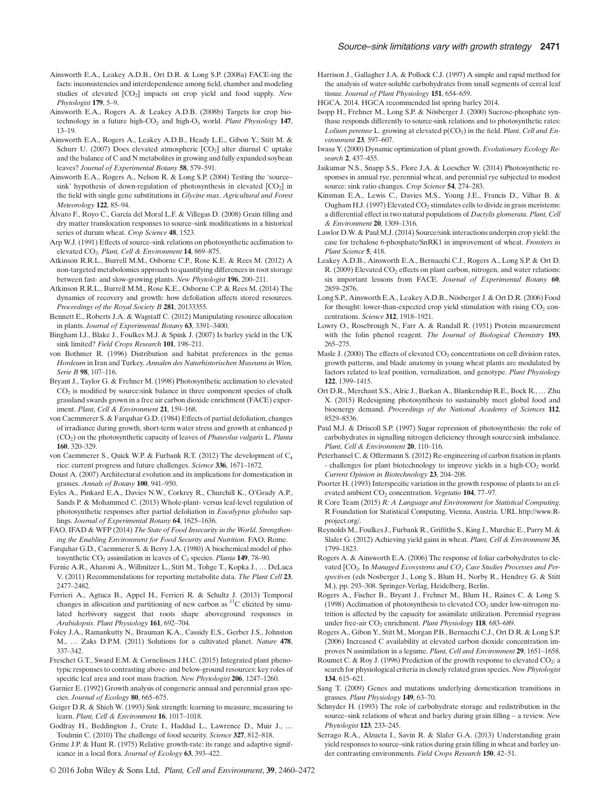- Ainsworth E.A., Leakey A.D.B., Ort D.R. & Long S.P. (2008a) FACE-ing the facts: inconsistencies and interdependence among field, chamber and modeling studies of elevated [CO<sub>2</sub>] impacts on crop yield and food supply. New Phytologist 179, 5–9.
- Ainsworth E.A., Rogers A. & Leakey A.D.B. (2008b) Targets for crop biotechnology in a future high-CO<sub>2</sub> and high-O<sub>3</sub> world. Plant Physiology 147, 13–19.
- Ainsworth E.A., Rogers A., Leakey A.D.B., Heady L.E., Gibon Y., Stitt M. & Schurr U. (2007) Does elevated atmospheric  $[CO<sub>2</sub>]$  alter diurnal C uptake and the balance of C and N metabolites in growing and fully expanded soybean leaves? Journal of Experimental Botany 58, 579–591.
- Ainsworth E.A., Rogers A., Nelson R. & Long S.P. (2004) Testing the 'source– sink' hypothesis of down-regulation of photosynthesis in elevated  $[CO<sub>2</sub>]$  in the field with single gene substitutions in Glycine max. Agricultural and Forest Meteorology 122, 85–94.
- Álvaro F., Royo C., García del Moral L.F. & Villegas D. (2008) Grain filling and dry matter translocation responses to source–sink modifications in a historical series of durum wheat. Crop Science 48, 1523.
- Arp W.J. (1991) Effects of source–sink relations on photosynthetic acclimation to elevated CO2. Plant, Cell & Environment 14, 869–875.
- Atkinson R.R.L., Burrell M.M., Osborne C.P., Rose K.E. & Rees M. (2012) A non-targeted metabolomics approach to quantifying differences in root storage between fast- and slow-growing plants. New Phytologist 196, 200–211.
- Atkinson R.R.L., Burrell M.M., Rose K.E., Osborne C.P. & Rees M. (2014) The dynamics of recovery and growth: how defoliation affects stored resources. Proceedings of the Royal Society B 281, 20133355.
- Bennett E., Roberts J.A. & Wagstaff C. (2012) Manipulating resource allocation in plants. Journal of Experimental Botany 63, 3391–3400.
- Bingham I.J., Blake J., Foulkes M.J. & Spink J. (2007) Is barley yield in the UK sink limited? Field Crops Research 101, 198–211.
- von Bothmer R. (1996) Distribution and habitat preferences in the genus Hordeum in Iran and Turkey. Annalen des Naturhistorischen Museums in Wien, Serie B 98, 107–116.
- Bryant J., Taylor G. & Frehner M. (1998) Photosynthetic acclimation to elevated  $CO<sub>2</sub>$  is modified by source:sink balance in three component species of chalk grassland swards grown in a free air carbon dioxide enrichment (FACE) experiment. Plant, Cell & Environment 21, 159-168.
- von Caemmerer S. & Farquhar G.D. (1984) Effects of partial defoliation, changes of irradiance during growth, short-term water stress and growth at enhanced p (CO2) on the photosynthetic capacity of leaves of Phaseolus vulgaris L. Planta 160, 320–329.
- von Caemmerer S., Quick W.P. & Furbank R.T. (2012) The development of C<sub>4</sub> rice: current progress and future challenges. Science 336, 1671–1672.
- Doust A. (2007) Architectural evolution and its implications for domestication in grasses. Annals of Botany 100, 941–950.
- Eyles A., Pinkard E.A., Davies N.W., Corkrey R., Churchill K., O'Grady A.P., Sands P. & Mohammed C. (2013) Whole-plant- versus leaf-level regulation of photosynthetic responses after partial defoliation in Eucalyptus globulus saplings. Journal of Experimental Botany 64, 1625–1636.
- FAO, IFAD & WFP (2014) The State of Food Insecurity in the World. Strengthening the Enabling Environment for Food Security and Nutrition. FAO, Rome.
- Farquhar G.D., Caemmerer S. & Berry J.A. (1980) A biochemical model of photosynthetic  $CO<sub>2</sub>$  assimilation in leaves of  $C<sub>3</sub>$  species. Planta 149, 78–90.
- Fernie A.R., Aharoni A., Willmitzer L., Stitt M., Tohge T., Kopka J., … DeLuca V. (2011) Recommendations for reporting metabolite data. The Plant Cell 23, 2477–2482.
- Ferrieri A., Agtuca B., Appel H., Ferrieri R. & Schultz J. (2013) Temporal changes in allocation and partitioning of new carbon as  ${}^{11}$ C elicited by simulated herbivory suggest that roots shape aboveground responses in Arabidopsis. Plant Physiology 161, 692–704.
- Foley J.A., Ramankutty N., Brauman K.A., Cassidy E.S., Gerber J.S., Johnston M., … Zaks D.P.M. (2011) Solutions for a cultivated planet. Nature 478, 337–342.
- Freschet G.T., Sward E.M. & Cornelissen J.H.C. (2015) Integrated plant phenotypic responses to contrasting above- and below-ground resources: key roles of specific leaf area and root mass fraction. New Phytologist 206, 1247–1260.
- Garnier E. (1992) Growth analysis of congeneric annual and perennial grass species. Journal of Ecology 80, 665–675.
- Geiger D.R. & Shieh W. (1993) Sink strength: learning to measure, measuring to learn. Plant, Cell & Environment 16, 1017–1018.
- Godfray H., Beddington J., Crute I., Haddad L., Lawrence D., Muir J., … Toulmin C. (2010) The challenge of food security. Science 327, 812–818.
- Grime J.P. & Hunt R. (1975) Relative growth-rate: its range and adaptive significance in a local flora. Journal of Ecology 63, 393–422.
- Harrison J., Gallagher J.A. & Pollock C.J. (1997) A simple and rapid method for the analysis of water-soluble carbohydrates from small segments of cereal leaf tissue. Journal of Plant Physiology 151, 654-659.
- HGCA. 2014. HGCA recommended list spring barley 2014.
- Isopp H., Frehner M., Long S.P. & Nösberger J. (2000) Sucrose-phosphate synthase responds differently to source-sink relations and to photosynthetic rates: Lolium perenne L. growing at elevated  $p(CO_2)$  in the field. Plant. Cell and Environment 23, 597–607.
- Iwasa Y. (2000) Dynamic optimization of plant growth. Evolutionary Ecology Research 2, 437–455.
- Jaikumar N.S., Snapp S.S., Flore J.A. & Loescher W. (2014) Photosynthetic responses in annual rye, perennial wheat, and perennial rye subjected to modest source: sink ratio changes. Crop Science 54, 274–283.
- Kinsman E.A., Lewis C., Davies M.S., Young J.E., Francis D., Vilhar B. & Ougham H.J. (1997) Elevated  $CO<sub>2</sub>$  stimulates cells to divide in grass meristems: a differential effect in two natural populations of Dactylis glomerata. Plant, Cell & Environment 20, 1309–1316.
- Lawlor D.W. & Paul M.J. (2014) Source/sink interactions underpin crop yield: the case for trehalose 6-phosphate/SnRK1 in improvement of wheat. Frontiers in Plant Science 5, 418.
- Leakey A.D.B., Ainsworth E.A., Bernacchi C.J., Rogers A., Long S.P. & Ort D. R. (2009) Elevated CO<sub>2</sub> effects on plant carbon, nitrogen, and water relations: six important lessons from FACE. Journal of Experimental Botany 60, 2859–2876.
- Long S.P., Ainsworth E.A., Leakey A.D.B., Nösberger J. & Ort D.R. (2006) Food for thought: lower-than-expected crop yield stimulation with rising  $CO<sub>2</sub>$  concentrations. Science 312, 1918–1921.
- Lowry O., Rosebrough N., Farr A. & Randall R. (1951) Protein measurement with the folin phenol reagent. The Journal of Biological Chemistry 193, 265–275.
- Masle J. (2000) The effects of elevated  $CO<sub>2</sub>$  concentrations on cell division rates, growth patterns, and blade anatomy in young wheat plants are modulated by factors related to leaf position, vernalization, and genotype. Plant Physiology 122, 1399–1415.
- Ort D.R., Merchant S.S., Alric J., Barkan A., Blankenship R.E., Bock R., … Zhu X. (2015) Redesigning photosynthesis to sustainably meet global food and bioenergy demand. Proceedings of the National Academy of Sciences 112, 8529–8536.
- Paul M.J. & Driscoll S.P. (1997) Sugar repression of photosynthesis: the role of carbohydrates in signalling nitrogen deficiency through source:sink imbalance. Plant, Cell & Environment 20, 110-116.
- Peterhansel C. & Offermann S. (2012) Re-engineering of carbon fixation in plants - challenges for plant biotechnology to improve yields in a high- $CO<sub>2</sub>$  world. Current Opinion in Biotechnology 23, 204–208.
- Poorter H. (1993) Interspecific variation in the growth response of plants to an elevated ambient CO<sub>2</sub> concentration. Vegetatio 104, 77-97.
- R Core Team (2015) R: A Language and Environment for Statistical Computing. R Foundation for Statistical Computing, Vienna, Austria. URL [http://www.R](http://www.R-project.org)[project.org](http://www.R-project.org)/.
- Reynolds M., Foulkes J., Furbank R., Griffiths S., King J., Murchie E., Parry M. & Slafer G. (2012) Achieving yield gains in wheat. Plant, Cell & Environment 35, 1799–1823.
- Rogers A. & Ainsworth E.A. (2006) The response of foliar carbohydrates to elevated  $[CO<sub>2</sub>$ . In Managed Ecosystems and  $CO<sub>2</sub>$  Case Studies Processes and Perspectives (eds Nosberger J., Long S., Blum H., Norby R., Hendrey G. & Stitt M.), pp. 293–308. Springer-Verlag, Heidelberg, Berlin.
- Rogers A., Fischer B., Bryant J., Frehner M., Blum H., Raines C. & Long S. (1998) Acclimation of photosynthesis to elevated  $CO<sub>2</sub>$  under low-nitrogen nutrition is affected by the capacity for assimilate utilization. Perennial ryegrass under free-air CO<sub>2</sub> enrichment. Plant Physiology 118, 683-689.
- Rogers A., Gibon Y., Stitt M., Morgan P.B., Bernacchi C.J., Ort D.R. & Long S.P. (2006) Increased C availability at elevated carbon dioxide concentration improves N assimilation in a legume. Plant, Cell and Environment 29, 1651–1658.
- Roumet C. & Roy J. (1996) Prediction of the growth response to elevated CO<sub>2</sub>: a search for physiological criteria in closely related grass species. New Phytologist 134, 615–621.
- Sang T. (2009) Genes and mutations underlying domestication transitions in grasses. Plant Physiology 149, 63–70.
- Schnyder H. (1993) The role of carbohydrate storage and redistribution in the source–sink relations of wheat and barley during grain filling – a review. New Phytologist 123, 233–245.
- Serrago R.A., Alzueta I., Savin R. & Slafer G.A. (2013) Understanding grain yield responses to source–sink ratios during grain filling in wheat and barley under contrasting environments. Field Crops Research 150, 42–51.